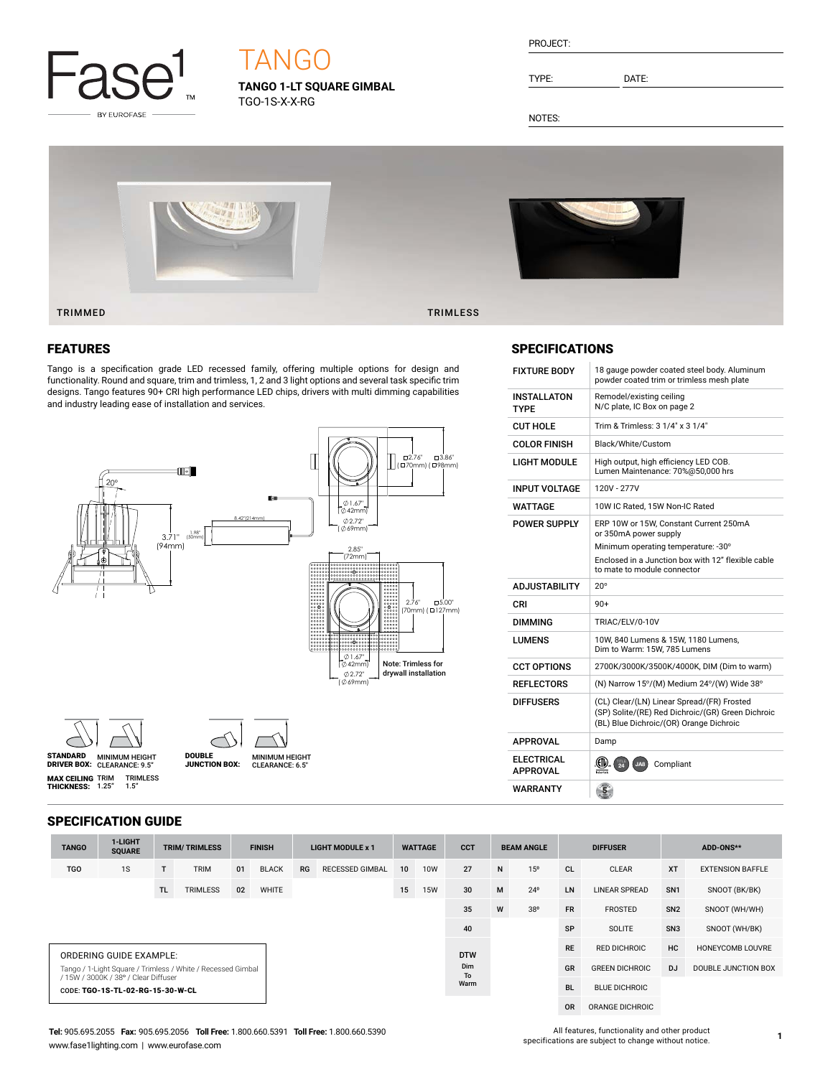

# TANGO

**TANGO 1-LT SQUARE GIMBAL** TGO-1S-X-X-RG

| PROJECT | ı |
|---------|---|
|         |   |

TYPE: DATE:

NOTES:



# FEATURES

Tango is a specification grade LED recessed family, offering multiple options for design and functionality. Round and square, trim and trimless, 1, 2 and 3 light options and several task specific trim designs. Tango features 90+ CRI high performance LED chips, drivers with multi dimming capabilities and industry leading ease of installation and services.







**MAX CEILING** TRIM<br>**THICKNESS:** 1.25" TRIMLESS 1.5"

MINIMUM HEIGHT CLEARANCE: 9.5" STANDARD DRIVER BOX: MINIMUM HEIGHT **MINIMUM HEIGHT<br>CLEARANCE: 6.5"** DOUBLE JUNCTION BOX:

### SPECIFICATION GUIDE

| <b>TANGO</b> | 1-LIGHT<br><b>SOUARE</b>                                                                            |     | <b>TRIM/TRIMLESS</b> | <b>FINISH</b> |              | <b>LIGHT MODULE x 1</b> |                        | <b>WATTAGE</b> |            | <b>CCT</b>       | <b>BEAM ANGLE</b> |                 | <b>DIFFUSER</b> |                       | ADD-ONS**       |                         |
|--------------|-----------------------------------------------------------------------------------------------------|-----|----------------------|---------------|--------------|-------------------------|------------------------|----------------|------------|------------------|-------------------|-----------------|-----------------|-----------------------|-----------------|-------------------------|
| <b>TGO</b>   | 1S                                                                                                  |     | <b>TRIM</b>          | 01            | <b>BLACK</b> | RG                      | <b>RECESSED GIMBAL</b> | 10             | <b>10W</b> | 27               | N                 | 15 <sup>o</sup> | <b>CL</b>       | <b>CLEAR</b>          | <b>XT</b>       | <b>EXTENSION BAFFLE</b> |
|              |                                                                                                     | TL. | <b>TRIMLESS</b>      | 02            | <b>WHITE</b> |                         |                        | 15             | <b>15W</b> | 30               | M                 | $24^{\circ}$    | LN              | <b>LINEAR SPREAD</b>  | SN <sub>1</sub> | SNOOT (BK/BK)           |
|              |                                                                                                     |     |                      |               |              |                         |                        |                |            | 35               | W                 | 38°             | <b>FR</b>       | <b>FROSTED</b>        | SN <sub>2</sub> | SNOOT (WH/WH)           |
|              |                                                                                                     |     |                      |               |              |                         |                        |                |            | 40               |                   |                 | SP              | SOLITE                | SN <sub>3</sub> | SNOOT (WH/BK)           |
|              | ORDERING GUIDE EXAMPLE:                                                                             |     |                      |               |              |                         |                        |                |            | <b>DTW</b>       |                   |                 | <b>RE</b>       | RED DICHROIC          | HC              | HONEYCOMB LOUVRE        |
|              | Tango / 1-Light Square / Trimless / White / Recessed Gimbal<br>/ 15W / 3000K / 38° / Clear Diffuser |     |                      |               |              |                         |                        |                |            | Dim<br><b>To</b> |                   |                 | GR              | <b>GREEN DICHROIC</b> | <b>DJ</b>       | DOUBLE JUNCTION BOX     |
|              | CODE: TGO-1S-TL-02-RG-15-30-W-CL                                                                    |     |                      |               |              |                         |                        |                |            | Warm             |                   |                 | <b>BL</b>       | <b>BLUE DICHROIC</b>  |                 |                         |

OR ORANGE DICHROIC

# TRIMMED TRIMLESS

### **SPECIFICATIONS**

| <b>FIXTURE BODY</b>                  | 18 gauge powder coated steel body. Aluminum<br>powder coated trim or trimless mesh plate                                                   |
|--------------------------------------|--------------------------------------------------------------------------------------------------------------------------------------------|
| <b>INSTALLATON</b><br><b>TYPF</b>    | Remodel/existing ceiling<br>N/C plate, IC Box on page 2                                                                                    |
| <b>CUT HOLE</b>                      | Trim & Trimless: 3 1/4" x 3 1/4"                                                                                                           |
| <b>COLOR FINISH</b>                  | Black/White/Custom                                                                                                                         |
| LIGHT MODULE                         | High output, high efficiency LED COB.<br>Lumen Maintenance: 70%@50,000 hrs                                                                 |
| <b>INPUT VOLTAGE</b>                 | 120V - 277V                                                                                                                                |
| WATTAGE                              | 10W IC Rated, 15W Non-IC Rated                                                                                                             |
| <b>POWER SUPPLY</b>                  | ERP 10W or 15W. Constant Current 250mA<br>or 350mA power supply                                                                            |
|                                      | Minimum operating temperature: -30°                                                                                                        |
|                                      | Enclosed in a Junction box with 12" flexible cable<br>to mate to module connector                                                          |
|                                      |                                                                                                                                            |
| <b>ADJUSTABILITY</b>                 | $20^{\circ}$                                                                                                                               |
| CRI                                  | $90+$                                                                                                                                      |
| <b>DIMMING</b>                       | TRIAC/ELV/0-10V                                                                                                                            |
| LUMENS                               | 10W, 840 Lumens & 15W, 1180 Lumens,<br>Dim to Warm: 15W, 785 Lumens                                                                        |
| <b>CCT OPTIONS</b>                   | 2700K/3000K/3500K/4000K, DIM (Dim to warm)                                                                                                 |
| <b>REFLECTORS</b>                    | (N) Narrow 15°/(M) Medium 24°/(W) Wide 38°                                                                                                 |
| <b>DIFFUSERS</b>                     | (CL) Clear/(LN) Linear Spread/(FR) Frosted<br>(SP) Solite/(RE) Red Dichroic/(GR) Green Dichroic<br>(BL) Blue Dichroic/(OR) Orange Dichroic |
| <b>APPROVAL</b>                      | Damp                                                                                                                                       |
| <b>ELECTRICAL</b><br><b>APPROVAL</b> | (CII)<br>$\overline{24}$<br>JA8<br>Compliant                                                                                               |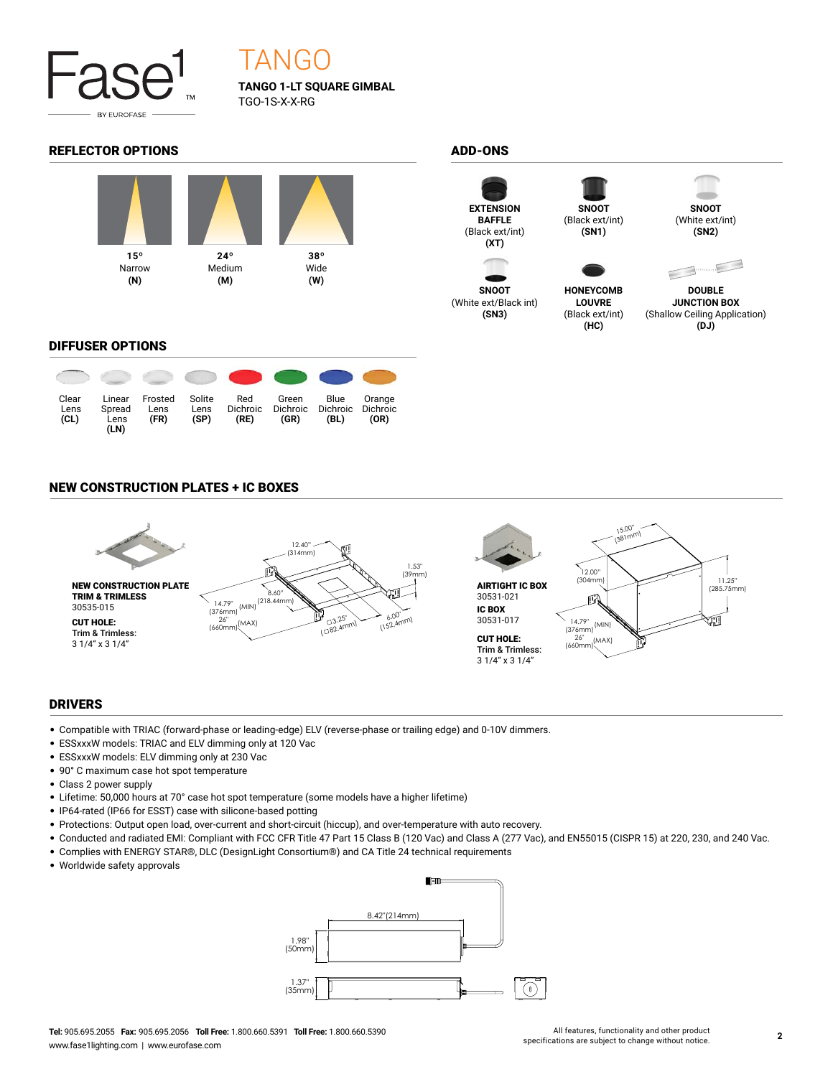

# TANGO

**TANGO 1-LT SQUARE GIMBAL** TGO-1S-X-X-RG

## REFLECTOR OPTIONS ADD-ONS





**SNOOT** (White ext/Black int) **(SN3)**



(Black ext/int) **(SN1)**

**HONEYCOMB LOUVRE** (Black ext/int) **(HC)**



**SNOOT** (White ext/int) **(SN2)**



**DOUBLE JUNCTION BOX** (Shallow Ceiling Application) **(DJ)**

### DIFFUSER OPTIONS



### NEW CONSTRUCTION PLATES + IC BOXES



### DRIVERS

- Compatible with TRIAC (forward-phase or leading-edge) ELV (reverse-phase or trailing edge) and 0-10V dimmers.
- ESSxxxW models: TRIAC and ELV dimming only at 120 Vac
- ESSxxxW models: ELV dimming only at 230 Vac
- 90° C maximum case hot spot temperature
- Class 2 power supply
- Lifetime: 50,000 hours at 70° case hot spot temperature (some models have a higher lifetime)
- IP64-rated (IP66 for ESST) case with silicone-based potting
- Protections: Output open load, over-current and short-circuit (hiccup), and over-temperature with auto recovery.
- Conducted and radiated EMI: Compliant with FCC CFR Title 47 Part 15 Class B (120 Vac) and Class A (277 Vac), and EN55015 (CISPR 15) at 220, 230, and 240 Vac.
- Complies with ENERGY STAR®, DLC (DesignLight Consortium®) and CA Title 24 technical requirements
- Worldwide safety approvals